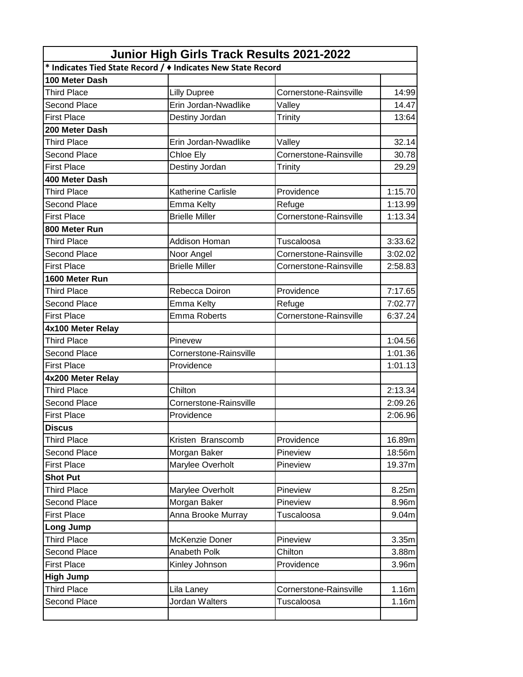| Junior High Girls Track Results 2021-2022                            |                           |                        |                   |  |  |
|----------------------------------------------------------------------|---------------------------|------------------------|-------------------|--|--|
| * Indicates Tied State Record / $\bullet$ Indicates New State Record |                           |                        |                   |  |  |
| 100 Meter Dash                                                       |                           |                        |                   |  |  |
| <b>Third Place</b>                                                   | <b>Lilly Dupree</b>       | Cornerstone-Rainsville | 14:99             |  |  |
| Second Place                                                         | Erin Jordan-Nwadlike      | Valley                 | 14.47             |  |  |
| <b>First Place</b>                                                   | Destiny Jordan            | Trinity                | 13:64             |  |  |
| 200 Meter Dash                                                       |                           |                        |                   |  |  |
| <b>Third Place</b>                                                   | Erin Jordan-Nwadlike      | Valley                 | 32.14             |  |  |
| <b>Second Place</b>                                                  | Chloe Ely                 | Cornerstone-Rainsville | 30.78             |  |  |
| <b>First Place</b>                                                   | Destiny Jordan            | Trinity                | 29.29             |  |  |
| 400 Meter Dash                                                       |                           |                        |                   |  |  |
| <b>Third Place</b>                                                   | <b>Katherine Carlisle</b> | Providence             | 1:15.70           |  |  |
| <b>Second Place</b>                                                  | <b>Emma Kelty</b>         | Refuge                 | 1:13.99           |  |  |
| <b>First Place</b>                                                   | <b>Brielle Miller</b>     | Cornerstone-Rainsville | 1:13.34           |  |  |
| 800 Meter Run                                                        |                           |                        |                   |  |  |
| <b>Third Place</b>                                                   | Addison Homan             | Tuscaloosa             | 3:33.62           |  |  |
| <b>Second Place</b>                                                  | Noor Angel                | Cornerstone-Rainsville | 3:02.02           |  |  |
| <b>First Place</b>                                                   | <b>Brielle Miller</b>     | Cornerstone-Rainsville | 2:58.83           |  |  |
| 1600 Meter Run                                                       |                           |                        |                   |  |  |
| <b>Third Place</b>                                                   | Rebecca Doiron            | Providence             | 7:17.65           |  |  |
| <b>Second Place</b>                                                  | <b>Emma Kelty</b>         | Refuge                 | 7:02.77           |  |  |
| <b>First Place</b>                                                   | <b>Emma Roberts</b>       | Cornerstone-Rainsville | 6:37.24           |  |  |
| 4x100 Meter Relay                                                    |                           |                        |                   |  |  |
| <b>Third Place</b>                                                   | Pinevew                   |                        | 1:04.56           |  |  |
| <b>Second Place</b>                                                  | Cornerstone-Rainsville    |                        | 1:01.36           |  |  |
| <b>First Place</b>                                                   | Providence                |                        | 1:01.13           |  |  |
| 4x200 Meter Relay                                                    |                           |                        |                   |  |  |
| <b>Third Place</b>                                                   | Chilton                   |                        | 2:13.34           |  |  |
| Second Place                                                         | Cornerstone-Rainsville    |                        | 2:09.26           |  |  |
| <b>First Place</b>                                                   | Providence                |                        | 2:06.96           |  |  |
| <b>Discus</b>                                                        |                           |                        |                   |  |  |
| <b>Third Place</b>                                                   | Kristen Branscomb         | Providence             | 16.89m            |  |  |
| Second Place                                                         | Morgan Baker              | Pineview               | 18:56m            |  |  |
| <b>First Place</b>                                                   | Marylee Overholt          | Pineview               | 19.37m            |  |  |
| <b>Shot Put</b>                                                      |                           |                        |                   |  |  |
| <b>Third Place</b>                                                   | Marylee Overholt          | Pineview               | 8.25m             |  |  |
| Second Place                                                         | Morgan Baker              | Pineview               | 8.96m             |  |  |
| <b>First Place</b>                                                   | Anna Brooke Murray        | Tuscaloosa             | 9.04 <sub>m</sub> |  |  |
| Long Jump                                                            |                           |                        |                   |  |  |
| <b>Third Place</b>                                                   | McKenzie Doner            | Pineview               | 3.35 <sub>m</sub> |  |  |
| Second Place                                                         | Anabeth Polk              | Chilton                | 3.88m             |  |  |
| <b>First Place</b>                                                   | Kinley Johnson            | Providence             | 3.96m             |  |  |
| <b>High Jump</b>                                                     |                           |                        |                   |  |  |
| <b>Third Place</b>                                                   | Lila Laney                | Cornerstone-Rainsville | 1.16m             |  |  |
| Second Place                                                         | Jordan Walters            | Tuscaloosa             | 1.16m             |  |  |
|                                                                      |                           |                        |                   |  |  |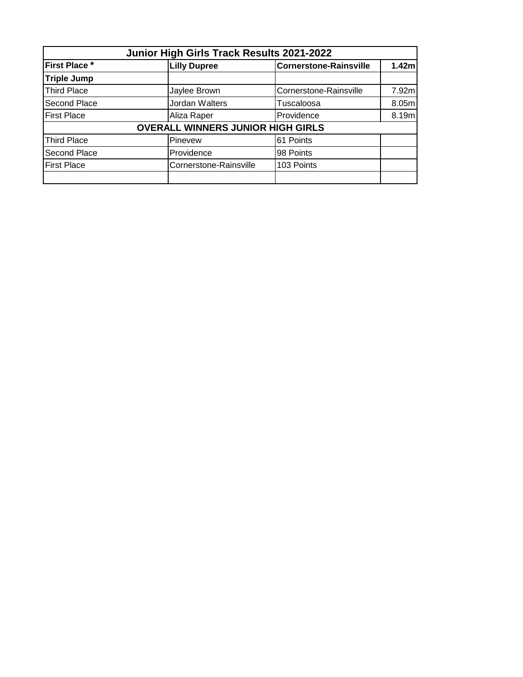| Junior High Girls Track Results 2021-2022 |                                          |                               |       |  |
|-------------------------------------------|------------------------------------------|-------------------------------|-------|--|
| First Place *                             | <b>Lilly Dupree</b>                      | <b>Cornerstone-Rainsville</b> | 1.42m |  |
| <b>Triple Jump</b>                        |                                          |                               |       |  |
| <b>Third Place</b>                        | Jaylee Brown                             | Cornerstone-Rainsville        | 7.92m |  |
| Second Place                              | Jordan Walters                           | Tuscaloosa                    | 8.05m |  |
| <b>First Place</b>                        | Aliza Raper                              | Providence                    | 8.19m |  |
|                                           | <b>OVERALL WINNERS JUNIOR HIGH GIRLS</b> |                               |       |  |
| <b>Third Place</b>                        | Pinevew                                  | 61 Points                     |       |  |
| Second Place                              | Providence                               | 98 Points                     |       |  |
| <b>First Place</b>                        | Cornerstone-Rainsville                   | 103 Points                    |       |  |
|                                           |                                          |                               |       |  |